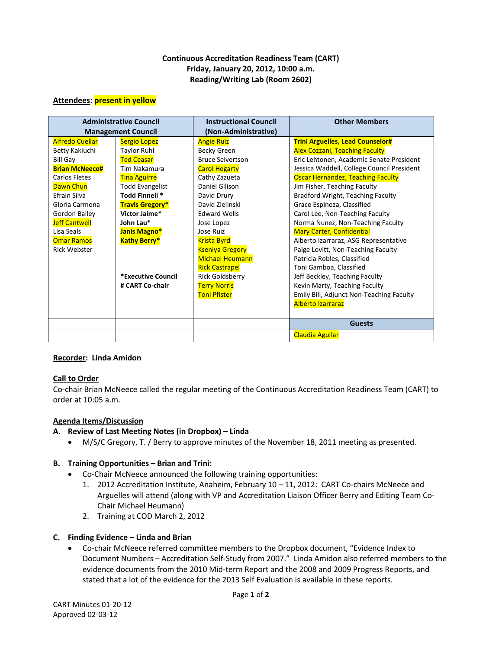### **Continuous Accreditation Readiness Team (CART) Friday, January 20, 2012, 10:00 a.m. Reading/Writing Lab (Room 2602)**

#### **Attendees: present in yellow**

| <b>Administrative Council</b> |                        | <b>Instructional Council</b> | <b>Other Members</b>                       |
|-------------------------------|------------------------|------------------------------|--------------------------------------------|
| <b>Management Council</b>     |                        | (Non-Administrative)         |                                            |
| <b>Alfredo Cuellar</b>        | <b>Sergio Lopez</b>    | <b>Angie Ruiz</b>            | <b>Trini Arguelles, Lead Counselor#</b>    |
| Betty Kakiuchi                | <b>Taylor Ruhl</b>     | Becky Green                  | <b>Alex Cozzani, Teaching Faculty</b>      |
| <b>Bill Gay</b>               | <b>Ted Ceasar</b>      | <b>Bruce Seivertson</b>      | Eric Lehtonen, Academic Senate President   |
| <b>Brian McNeece#</b>         | Tim Nakamura           | <b>Carol Hegarty</b>         | Jessica Waddell, College Council President |
| <b>Carlos Fletes</b>          | <b>Tina Aguirre</b>    | Cathy Zazueta                | <b>Oscar Hernandez, Teaching Faculty</b>   |
| Dawn Chun                     | <b>Todd Evangelist</b> | Daniel Gilison               | Jim Fisher, Teaching Faculty               |
| Efrain Silva                  | Todd Finnell *         | David Drury                  | Bradford Wright, Teaching Faculty          |
| Gloria Carmona                | <b>Travis Gregory*</b> | David Zielinski              | Grace Espinoza, Classified                 |
| Gordon Bailey                 | Victor Jaime*          | <b>Edward Wells</b>          | Carol Lee, Non-Teaching Faculty            |
| <b>Jeff Cantwell</b>          | John Lau*              | Jose Lopez                   | Norma Nunez, Non-Teaching Faculty          |
| Lisa Seals                    | Janis Magno*           | Jose Ruiz                    | <b>Mary Carter, Confidential</b>           |
| <b>Omar Ramos</b>             | <b>Kathy Berry*</b>    | <b>Krista Byrd</b>           | Alberto Izarraraz, ASG Representative      |
| <b>Rick Webster</b>           |                        | <b>Kseniya Gregory</b>       | Paige Lovitt, Non-Teaching Faculty         |
|                               |                        | <b>Michael Heumann</b>       | Patricia Robles, Classified                |
|                               |                        | <b>Rick Castrapel</b>        | Toni Gamboa, Classified                    |
|                               | *Executive Council     | <b>Rick Goldsberry</b>       | Jeff Beckley, Teaching Faculty             |
|                               | # CART Co-chair        | <b>Terry Norris</b>          | Kevin Marty, Teaching Faculty              |
|                               |                        | <b>Toni Pfister</b>          | Emily Bill, Adjunct Non-Teaching Faculty   |
|                               |                        |                              | <b>Alberto Izarraraz</b>                   |
|                               |                        |                              |                                            |
|                               |                        |                              | <b>Guests</b>                              |
|                               |                        |                              | <b>Claudia Aguilar</b>                     |

#### **Recorder: Linda Amidon**

### **Call to Order**

Co-chair Brian McNeece called the regular meeting of the Continuous Accreditation Readiness Team (CART) to order at 10:05 a.m.

### **Agenda Items/Discussion**

### **A. Review of Last Meeting Notes (in Dropbox) – Linda**

• M/S/C Gregory, T. / Berry to approve minutes of the November 18, 2011 meeting as presented.

### **B. Training Opportunities – Brian and Trini:**

- Co-Chair McNeece announced the following training opportunities:
	- 1. 2012 Accreditation Institute, Anaheim, February 10 11, 2012: CART Co-chairs McNeece and Arguelles will attend (along with VP and Accreditation Liaison Officer Berry and Editing Team Co-Chair Michael Heumann)
	- 2. Training at COD March 2, 2012

### **C. Finding Evidence – Linda and Brian**

• Co-chair McNeece referred committee members to the Dropbox document, "Evidence Index to Document Numbers – Accreditation Self-Study from 2007." Linda Amidon also referred members to the evidence documents from the 2010 Mid-term Report and the 2008 and 2009 Progress Reports, and stated that a lot of the evidence for the 2013 Self Evaluation is available in these reports.